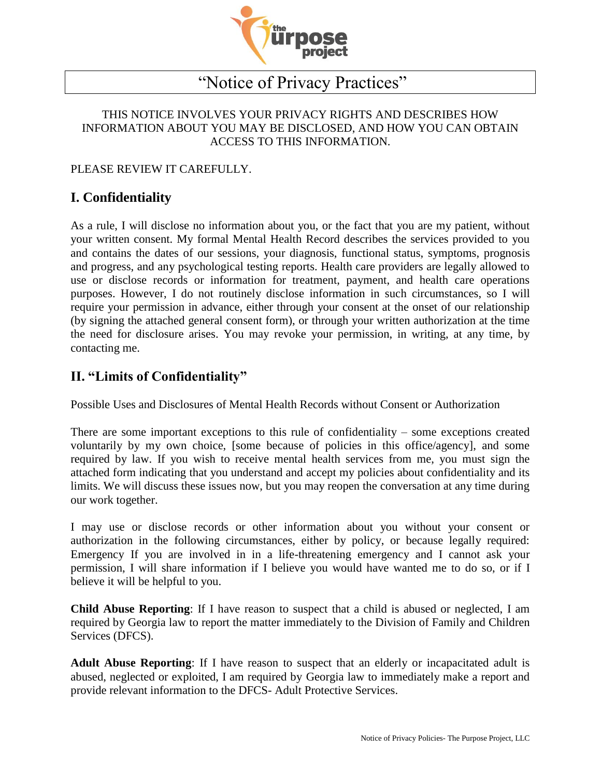

# "Notice of Privacy Practices"

### THIS NOTICE INVOLVES YOUR PRIVACY RIGHTS AND DESCRIBES HOW INFORMATION ABOUT YOU MAY BE DISCLOSED, AND HOW YOU CAN OBTAIN ACCESS TO THIS INFORMATION.

### PLEASE REVIEW IT CAREFULLY.

## **I. Confidentiality**

As a rule, I will disclose no information about you, or the fact that you are my patient, without your written consent. My formal Mental Health Record describes the services provided to you and contains the dates of our sessions, your diagnosis, functional status, symptoms, prognosis and progress, and any psychological testing reports. Health care providers are legally allowed to use or disclose records or information for treatment, payment, and health care operations purposes. However, I do not routinely disclose information in such circumstances, so I will require your permission in advance, either through your consent at the onset of our relationship (by signing the attached general consent form), or through your written authorization at the time the need for disclosure arises. You may revoke your permission, in writing, at any time, by contacting me.

# **II. "Limits of Confidentiality"**

Possible Uses and Disclosures of Mental Health Records without Consent or Authorization

There are some important exceptions to this rule of confidentiality – some exceptions created voluntarily by my own choice, [some because of policies in this office/agency], and some required by law. If you wish to receive mental health services from me, you must sign the attached form indicating that you understand and accept my policies about confidentiality and its limits. We will discuss these issues now, but you may reopen the conversation at any time during our work together.

I may use or disclose records or other information about you without your consent or authorization in the following circumstances, either by policy, or because legally required: Emergency If you are involved in in a life-threatening emergency and I cannot ask your permission, I will share information if I believe you would have wanted me to do so, or if I believe it will be helpful to you.

**Child Abuse Reporting**: If I have reason to suspect that a child is abused or neglected, I am required by Georgia law to report the matter immediately to the Division of Family and Children Services (DFCS).

**Adult Abuse Reporting**: If I have reason to suspect that an elderly or incapacitated adult is abused, neglected or exploited, I am required by Georgia law to immediately make a report and provide relevant information to the DFCS- Adult Protective Services.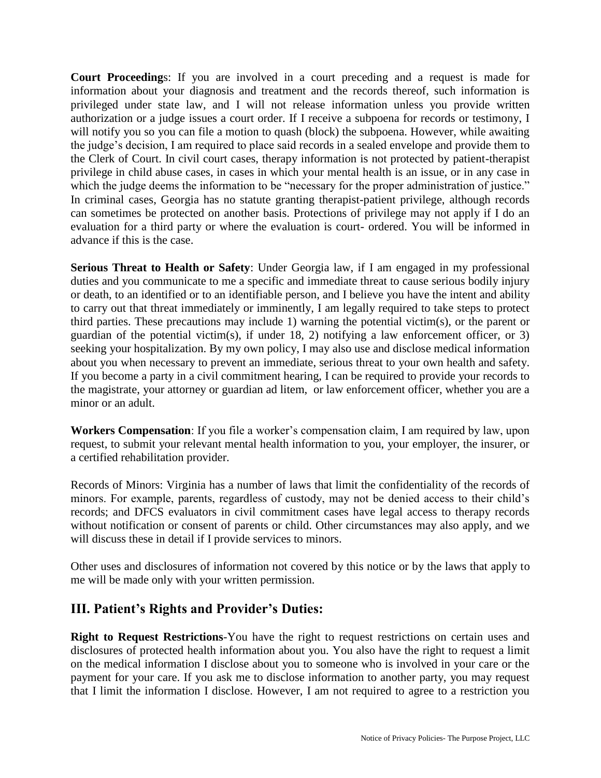**Court Proceeding**s: If you are involved in a court preceding and a request is made for information about your diagnosis and treatment and the records thereof, such information is privileged under state law, and I will not release information unless you provide written authorization or a judge issues a court order. If I receive a subpoena for records or testimony, I will notify you so you can file a motion to quash (block) the subpoena. However, while awaiting the judge's decision, I am required to place said records in a sealed envelope and provide them to the Clerk of Court. In civil court cases, therapy information is not protected by patient-therapist privilege in child abuse cases, in cases in which your mental health is an issue, or in any case in which the judge deems the information to be "necessary for the proper administration of justice." In criminal cases, Georgia has no statute granting therapist-patient privilege, although records can sometimes be protected on another basis. Protections of privilege may not apply if I do an evaluation for a third party or where the evaluation is court- ordered. You will be informed in advance if this is the case.

**Serious Threat to Health or Safety**: Under Georgia law, if I am engaged in my professional duties and you communicate to me a specific and immediate threat to cause serious bodily injury or death, to an identified or to an identifiable person, and I believe you have the intent and ability to carry out that threat immediately or imminently, I am legally required to take steps to protect third parties. These precautions may include 1) warning the potential victim(s), or the parent or guardian of the potential victim(s), if under 18, 2) notifying a law enforcement officer, or 3) seeking your hospitalization. By my own policy, I may also use and disclose medical information about you when necessary to prevent an immediate, serious threat to your own health and safety. If you become a party in a civil commitment hearing, I can be required to provide your records to the magistrate, your attorney or guardian ad litem, or law enforcement officer, whether you are a minor or an adult.

**Workers Compensation**: If you file a worker's compensation claim, I am required by law, upon request, to submit your relevant mental health information to you, your employer, the insurer, or a certified rehabilitation provider.

Records of Minors: Virginia has a number of laws that limit the confidentiality of the records of minors. For example, parents, regardless of custody, may not be denied access to their child's records; and DFCS evaluators in civil commitment cases have legal access to therapy records without notification or consent of parents or child. Other circumstances may also apply, and we will discuss these in detail if I provide services to minors.

Other uses and disclosures of information not covered by this notice or by the laws that apply to me will be made only with your written permission.

# **III. Patient's Rights and Provider's Duties:**

**Right to Request Restrictions**-You have the right to request restrictions on certain uses and disclosures of protected health information about you. You also have the right to request a limit on the medical information I disclose about you to someone who is involved in your care or the payment for your care. If you ask me to disclose information to another party, you may request that I limit the information I disclose. However, I am not required to agree to a restriction you